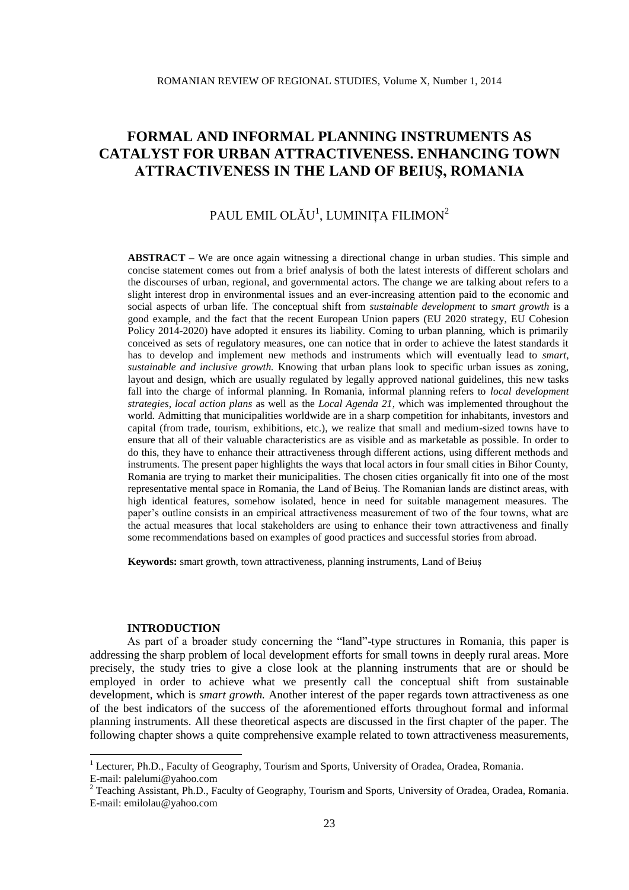# PAUL EMIL OLĂU $^{\rm l}$ , LUMINIȚA FILIMON $^{\rm 2}$

**ABSTRACT –** We are once again witnessing a directional change in urban studies. This simple and concise statement comes out from a brief analysis of both the latest interests of different scholars and the discourses of urban, regional, and governmental actors. The change we are talking about refers to a slight interest drop in environmental issues and an ever-increasing attention paid to the economic and social aspects of urban life. The conceptual shift from *sustainable development* to *smart growth* is a good example, and the fact that the recent European Union papers (EU 2020 strategy, EU Cohesion Policy 2014-2020) have adopted it ensures its liability. Coming to urban planning, which is primarily conceived as sets of regulatory measures, one can notice that in order to achieve the latest standards it has to develop and implement new methods and instruments which will eventually lead to *smart, sustainable and inclusive growth.* Knowing that urban plans look to specific urban issues as zoning, layout and design, which are usually regulated by legally approved national guidelines, this new tasks fall into the charge of informal planning. In Romania, informal planning refers to *local development strategies, local action plans* as well as the *Local Agenda 21*, which was implemented throughout the world*.* Admitting that municipalities worldwide are in a sharp competition for inhabitants, investors and capital (from trade, tourism, exhibitions, etc.), we realize that small and medium-sized towns have to ensure that all of their valuable characteristics are as visible and as marketable as possible. In order to do this, they have to enhance their attractiveness through different actions, using different methods and instruments. The present paper highlights the ways that local actors in four small cities in Bihor County, Romania are trying to market their municipalities. The chosen cities organically fit into one of the most representative mental space in Romania, the Land of Beiuş. The Romanian lands are distinct areas, with high identical features, somehow isolated, hence in need for suitable management measures. The paper's outline consists in an empirical attractiveness measurement of two of the four towns, what are the actual measures that local stakeholders are using to enhance their town attractiveness and finally some recommendations based on examples of good practices and successful stories from abroad.

**Keywords:** smart growth, town attractiveness, planning instruments, Land of Beiuş

#### **INTRODUCTION**

1

As part of a broader study concerning the "land"-type structures in Romania, this paper is addressing the sharp problem of local development efforts for small towns in deeply rural areas. More precisely, the study tries to give a close look at the planning instruments that are or should be employed in order to achieve what we presently call the conceptual shift from sustainable development, which is *smart growth.* Another interest of the paper regards town attractiveness as one of the best indicators of the success of the aforementioned efforts throughout formal and informal planning instruments. All these theoretical aspects are discussed in the first chapter of the paper. The following chapter shows a quite comprehensive example related to town attractiveness measurements,

<sup>&</sup>lt;sup>1</sup> Lecturer, Ph.D., Faculty of Geography, Tourism and Sports, University of Oradea, Oradea, Romania. E-mail: palelumi@yahoo.com

<sup>&</sup>lt;sup>2</sup> Teaching Assistant, Ph.D., Faculty of Geography, Tourism and Sports, University of Oradea, Oradea, Romania. E-mail: emilolau@yahoo.com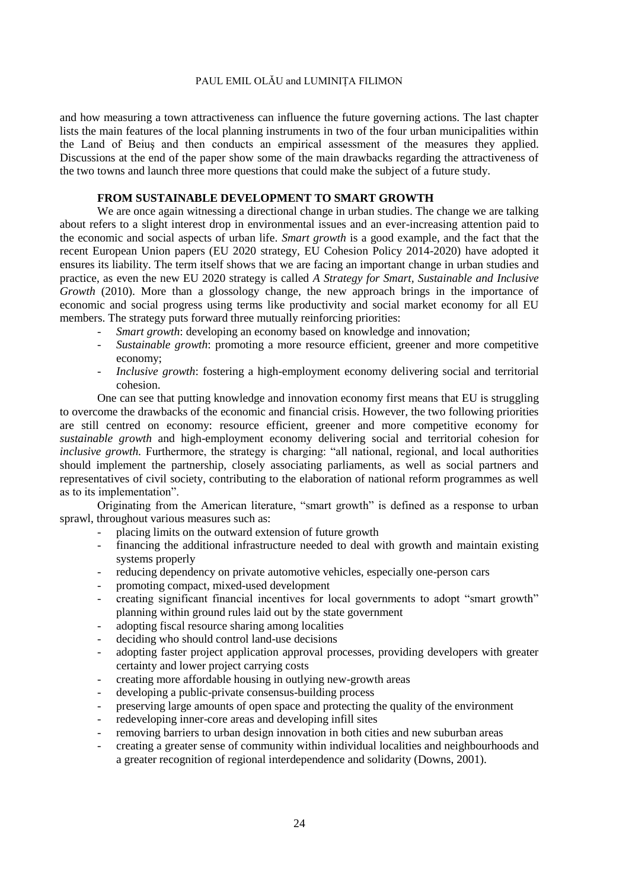and how measuring a town attractiveness can influence the future governing actions. The last chapter lists the main features of the local planning instruments in two of the four urban municipalities within the Land of Beiuş and then conducts an empirical assessment of the measures they applied. Discussions at the end of the paper show some of the main drawbacks regarding the attractiveness of the two towns and launch three more questions that could make the subject of a future study.

# **FROM SUSTAINABLE DEVELOPMENT TO SMART GROWTH**

We are once again witnessing a directional change in urban studies. The change we are talking about refers to a slight interest drop in environmental issues and an ever-increasing attention paid to the economic and social aspects of urban life. *Smart growth* is a good example, and the fact that the recent European Union papers (EU 2020 strategy, EU Cohesion Policy 2014-2020) have adopted it ensures its liability. The term itself shows that we are facing an important change in urban studies and practice, as even the new EU 2020 strategy is called *A Strategy for Smart, Sustainable and Inclusive Growth* (2010). More than a glossology change, the new approach brings in the importance of economic and social progress using terms like productivity and social market economy for all EU members. The strategy puts forward three mutually reinforcing priorities:

- *Smart growth*: developing an economy based on knowledge and innovation;
- *Sustainable growth*: promoting a more resource efficient, greener and more competitive economy;
- *Inclusive growth*: fostering a high-employment economy delivering social and territorial cohesion.

One can see that putting knowledge and innovation economy first means that EU is struggling to overcome the drawbacks of the economic and financial crisis. However, the two following priorities are still centred on economy: resource efficient, greener and more competitive economy for *sustainable growth* and high-employment economy delivering social and territorial cohesion for *inclusive growth.* Furthermore, the strategy is charging: "all national, regional, and local authorities should implement the partnership, closely associating parliaments, as well as social partners and representatives of civil society, contributing to the elaboration of national reform programmes as well as to its implementation".

Originating from the American literature, "smart growth" is defined as a response to urban sprawl, throughout various measures such as:

- placing limits on the outward extension of future growth
- financing the additional infrastructure needed to deal with growth and maintain existing systems properly
- reducing dependency on private automotive vehicles, especially one-person cars
- promoting compact, mixed-used development
- creating significant financial incentives for local governments to adopt "smart growth" planning within ground rules laid out by the state government
- adopting fiscal resource sharing among localities
- deciding who should control land-use decisions
- adopting faster project application approval processes, providing developers with greater certainty and lower project carrying costs
- creating more affordable housing in outlying new-growth areas
- developing a public-private consensus-building process
- preserving large amounts of open space and protecting the quality of the environment
- redeveloping inner-core areas and developing infill sites
- removing barriers to urban design innovation in both cities and new suburban areas
- creating a greater sense of community within individual localities and neighbourhoods and a greater recognition of regional interdependence and solidarity (Downs, 2001).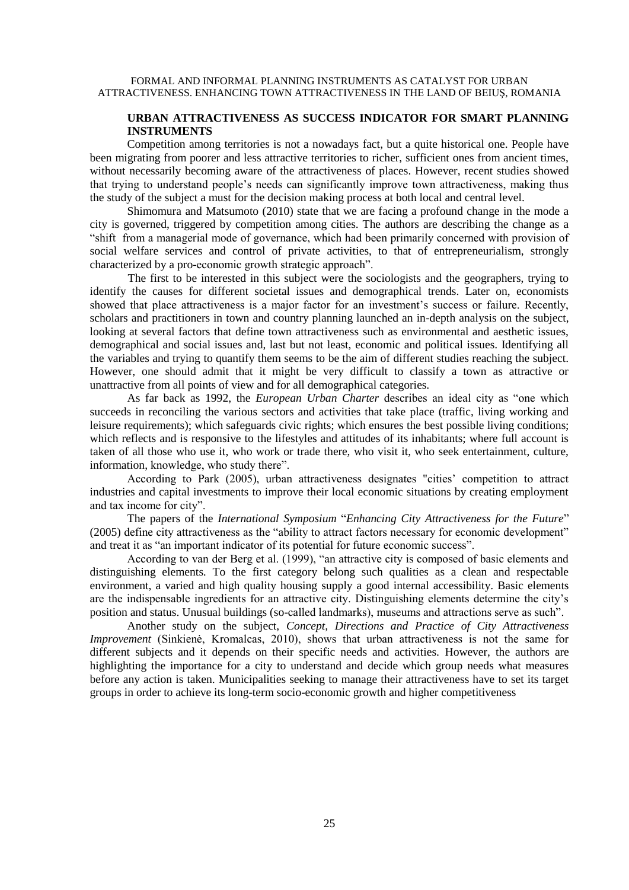# **URBAN ATTRACTIVENESS AS SUCCESS INDICATOR FOR SMART PLANNING INSTRUMENTS**

Competition among territories is not a nowadays fact, but a quite historical one. People have been migrating from poorer and less attractive territories to richer, sufficient ones from ancient times, without necessarily becoming aware of the attractiveness of places. However, recent studies showed that trying to understand people's needs can significantly improve town attractiveness, making thus the study of the subject a must for the decision making process at both local and central level.

Shimomura and Matsumoto (2010) state that we are facing a profound change in the mode a city is governed, triggered by competition among cities. The authors are describing the change as a "shift from a managerial mode of governance, which had been primarily concerned with provision of social welfare services and control of private activities, to that of entrepreneurialism, strongly characterized by a pro-economic growth strategic approach".

The first to be interested in this subject were the sociologists and the geographers, trying to identify the causes for different societal issues and demographical trends. Later on, economists showed that place attractiveness is a major factor for an investment's success or failure. Recently, scholars and practitioners in town and country planning launched an in-depth analysis on the subject, looking at several factors that define town attractiveness such as environmental and aesthetic issues, demographical and social issues and, last but not least, economic and political issues. Identifying all the variables and trying to quantify them seems to be the aim of different studies reaching the subject. However, one should admit that it might be very difficult to classify a town as attractive or unattractive from all points of view and for all demographical categories.

As far back as 1992, the *European Urban Charter* describes an ideal city as "one which succeeds in reconciling the various sectors and activities that take place (traffic, living working and leisure requirements); which safeguards civic rights; which ensures the best possible living conditions; which reflects and is responsive to the lifestyles and attitudes of its inhabitants; where full account is taken of all those who use it, who work or trade there, who visit it, who seek entertainment, culture, information, knowledge, who study there".

According to Park (2005), urban attractiveness designates "cities' competition to attract industries and capital investments to improve their local economic situations by creating employment and tax income for city".

The papers of the *International Symposium* "*Enhancing City Attractiveness for the Future*" (2005) define city attractiveness as the "ability to attract factors necessary for economic development" and treat it as "an important indicator of its potential for future economic success".

According to van der Berg et al. (1999), "an attractive city is composed of basic elements and distinguishing elements. To the first category belong such qualities as a clean and respectable environment, a varied and high quality housing supply a good internal accessibility. Basic elements are the indispensable ingredients for an attractive city. Distinguishing elements determine the city's position and status. Unusual buildings (so-called landmarks), museums and attractions serve as such".

Another study on the subject, *Concept, Directions and Practice of City Attractiveness Improvement* (Sinkienė, Kromalcas, 2010), shows that urban attractiveness is not the same for different subjects and it depends on their specific needs and activities. However, the authors are highlighting the importance for a city to understand and decide which group needs what measures before any action is taken. Municipalities seeking to manage their attractiveness have to set its target groups in order to achieve its long-term socio-economic growth and higher competitiveness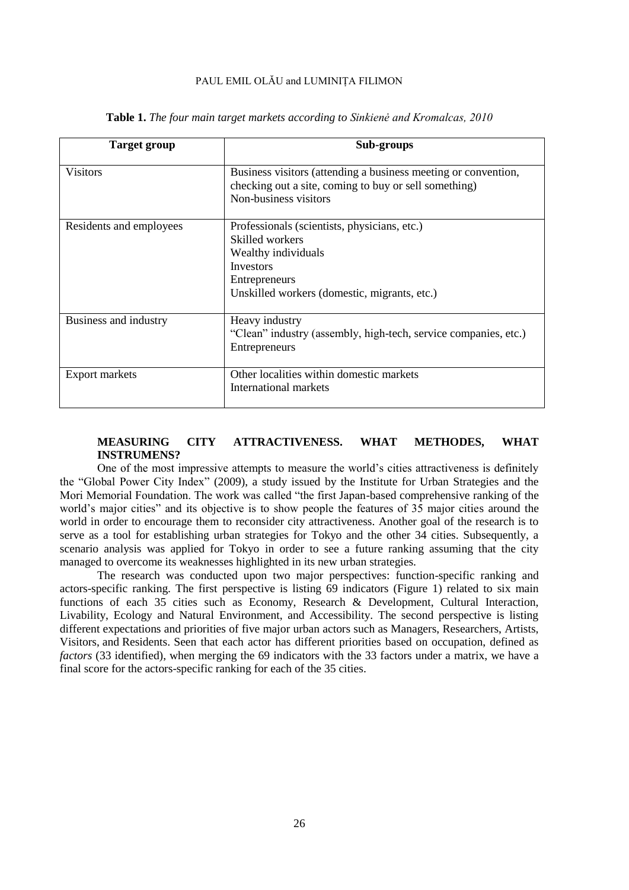| <b>Target group</b>     | Sub-groups                                                                                                                                                                  |  |  |  |  |  |  |
|-------------------------|-----------------------------------------------------------------------------------------------------------------------------------------------------------------------------|--|--|--|--|--|--|
| <b>Visitors</b>         | Business visitors (attending a business meeting or convention,<br>checking out a site, coming to buy or sell something)<br>Non-business visitors                            |  |  |  |  |  |  |
| Residents and employees | Professionals (scientists, physicians, etc.)<br>Skilled workers<br>Wealthy individuals<br><b>Investors</b><br>Entrepreneurs<br>Unskilled workers (domestic, migrants, etc.) |  |  |  |  |  |  |
| Business and industry   | Heavy industry<br>"Clean" industry (assembly, high-tech, service companies, etc.)<br>Entrepreneurs                                                                          |  |  |  |  |  |  |
| <b>Export markets</b>   | Other localities within domestic markets<br>International markets                                                                                                           |  |  |  |  |  |  |

**Table 1.** *The four main target markets according to Sinkienė and Kromalcas, 2010*

# **MEASURING CITY ATTRACTIVENESS. WHAT METHODES, WHAT INSTRUMENS?**

One of the most impressive attempts to measure the world's cities attractiveness is definitely the "Global Power City Index" (2009), a study issued by the Institute for Urban Strategies and the Mori Memorial Foundation. The work was called "the first Japan-based comprehensive ranking of the world's major cities" and its objective is to show people the features of 35 major cities around the world in order to encourage them to reconsider city attractiveness. Another goal of the research is to serve as a tool for establishing urban strategies for Tokyo and the other 34 cities. Subsequently, a scenario analysis was applied for Tokyo in order to see a future ranking assuming that the city managed to overcome its weaknesses highlighted in its new urban strategies.

The research was conducted upon two major perspectives: function-specific ranking and actors-specific ranking. The first perspective is listing 69 indicators (Figure 1) related to six main functions of each 35 cities such as Economy, Research & Development, Cultural Interaction, Livability, Ecology and Natural Environment, and Accessibility. The second perspective is listing different expectations and priorities of five major urban actors such as Managers, Researchers, Artists, Visitors, and Residents. Seen that each actor has different priorities based on occupation, defined as *factors* (33 identified), when merging the 69 indicators with the 33 factors under a matrix, we have a final score for the actors-specific ranking for each of the 35 cities.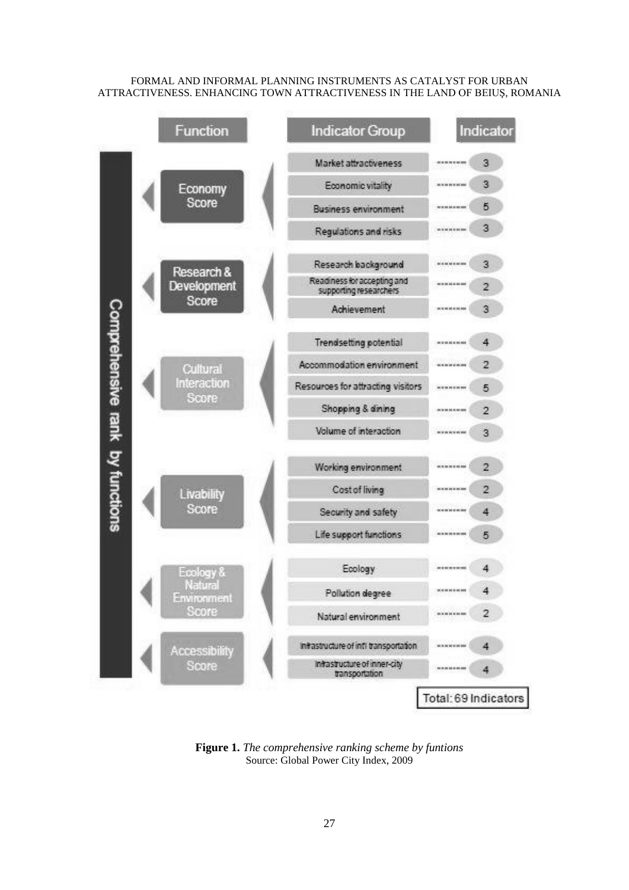

**Figure 1.** *The comprehensive ranking scheme by funtions* Source: Global Power City Index, 2009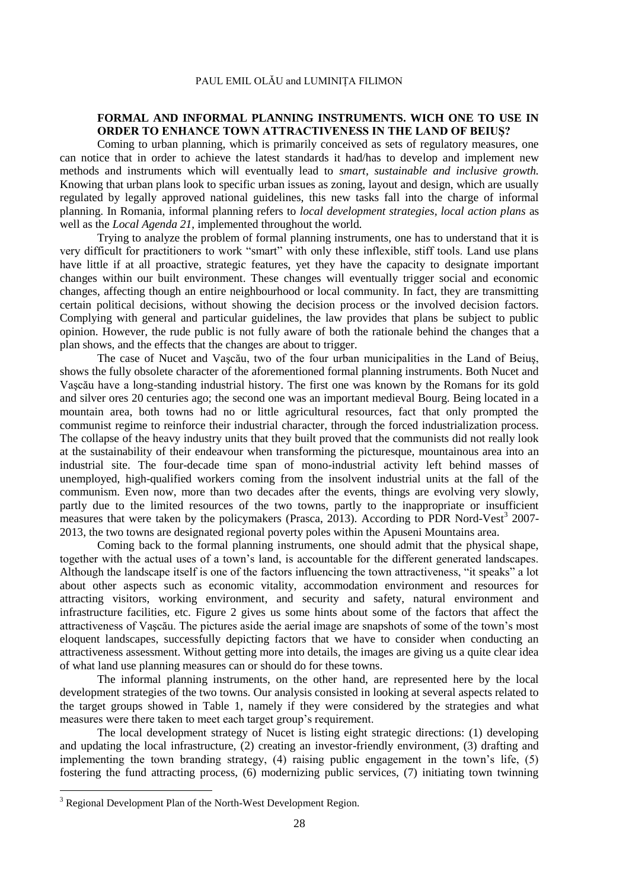# **FORMAL AND INFORMAL PLANNING INSTRUMENTS. WICH ONE TO USE IN ORDER TO ENHANCE TOWN ATTRACTIVENESS IN THE LAND OF BEIUŞ?**

Coming to urban planning, which is primarily conceived as sets of regulatory measures, one can notice that in order to achieve the latest standards it had/has to develop and implement new methods and instruments which will eventually lead to *smart, sustainable and inclusive growth.* Knowing that urban plans look to specific urban issues as zoning, layout and design, which are usually regulated by legally approved national guidelines, this new tasks fall into the charge of informal planning. In Romania, informal planning refers to *local development strategies, local action plans* as well as the *Local Agenda 21*, implemented throughout the world*.*

Trying to analyze the problem of formal planning instruments, one has to understand that it is very difficult for practitioners to work "smart" with only these inflexible, stiff tools. Land use plans have little if at all proactive, strategic features, yet they have the capacity to designate important changes within our built environment. These changes will eventually trigger social and economic changes, affecting though an entire neighbourhood or local community. In fact, they are transmitting certain political decisions, without showing the decision process or the involved decision factors. Complying with general and particular guidelines, the law provides that plans be subject to public opinion. However, the rude public is not fully aware of both the rationale behind the changes that a plan shows, and the effects that the changes are about to trigger.

The case of Nucet and Vaşcău, two of the four urban municipalities in the Land of Beiuş, shows the fully obsolete character of the aforementioned formal planning instruments. Both Nucet and Vaşcău have a long-standing industrial history. The first one was known by the Romans for its gold and silver ores 20 centuries ago; the second one was an important medieval Bourg. Being located in a mountain area, both towns had no or little agricultural resources, fact that only prompted the communist regime to reinforce their industrial character, through the forced industrialization process. The collapse of the heavy industry units that they built proved that the communists did not really look at the sustainability of their endeavour when transforming the picturesque, mountainous area into an industrial site. The four-decade time span of mono-industrial activity left behind masses of unemployed, high-qualified workers coming from the insolvent industrial units at the fall of the communism. Even now, more than two decades after the events, things are evolving very slowly, partly due to the limited resources of the two towns, partly to the inappropriate or insufficient measures that were taken by the policymakers (Prasca, 2013). According to PDR Nord-Vest<sup>3</sup> 2007-2013, the two towns are designated regional poverty poles within the Apuseni Mountains area.

Coming back to the formal planning instruments, one should admit that the physical shape, together with the actual uses of a town's land, is accountable for the different generated landscapes. Although the landscape itself is one of the factors influencing the town attractiveness, "it speaks" a lot about other aspects such as economic vitality, accommodation environment and resources for attracting visitors, working environment, and security and safety, natural environment and infrastructure facilities, etc. Figure 2 gives us some hints about some of the factors that affect the attractiveness of Vaşcău. The pictures aside the aerial image are snapshots of some of the town's most eloquent landscapes, successfully depicting factors that we have to consider when conducting an attractiveness assessment. Without getting more into details, the images are giving us a quite clear idea of what land use planning measures can or should do for these towns.

The informal planning instruments, on the other hand, are represented here by the local development strategies of the two towns. Our analysis consisted in looking at several aspects related to the target groups showed in Table 1, namely if they were considered by the strategies and what measures were there taken to meet each target group's requirement.

The local development strategy of Nucet is listing eight strategic directions: (1) developing and updating the local infrastructure, (2) creating an investor-friendly environment, (3) drafting and implementing the town branding strategy, (4) raising public engagement in the town's life, (5) fostering the fund attracting process, (6) modernizing public services, (7) initiating town twinning

1

<sup>&</sup>lt;sup>3</sup> Regional Development Plan of the North-West Development Region.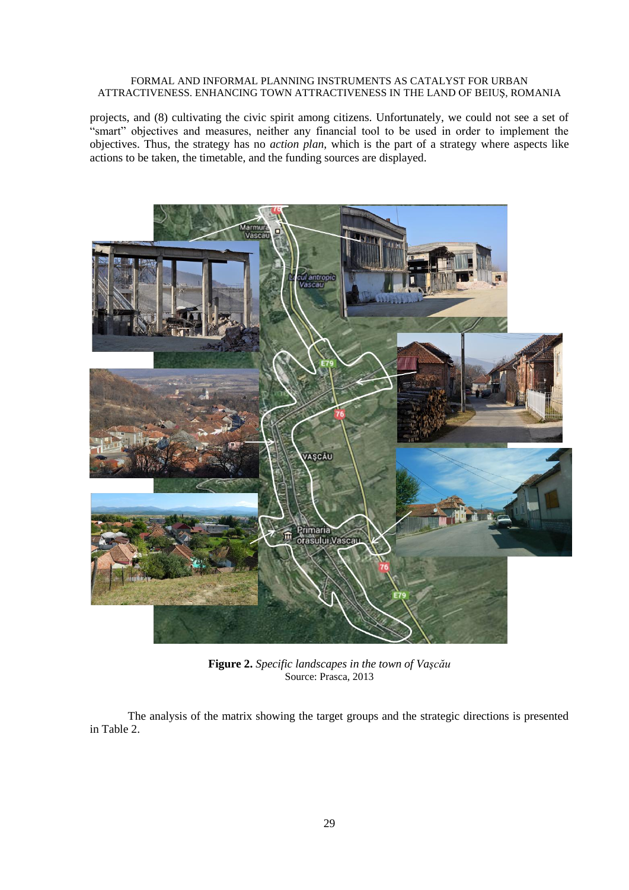projects, and (8) cultivating the civic spirit among citizens. Unfortunately, we could not see a set of "smart" objectives and measures, neither any financial tool to be used in order to implement the objectives. Thus, the strategy has no *action plan*, which is the part of a strategy where aspects like actions to be taken, the timetable, and the funding sources are displayed.



**Figure 2.** *Specific landscapes in the town of Vaşcău* Source: Prasca, 2013

The analysis of the matrix showing the target groups and the strategic directions is presented in Table 2.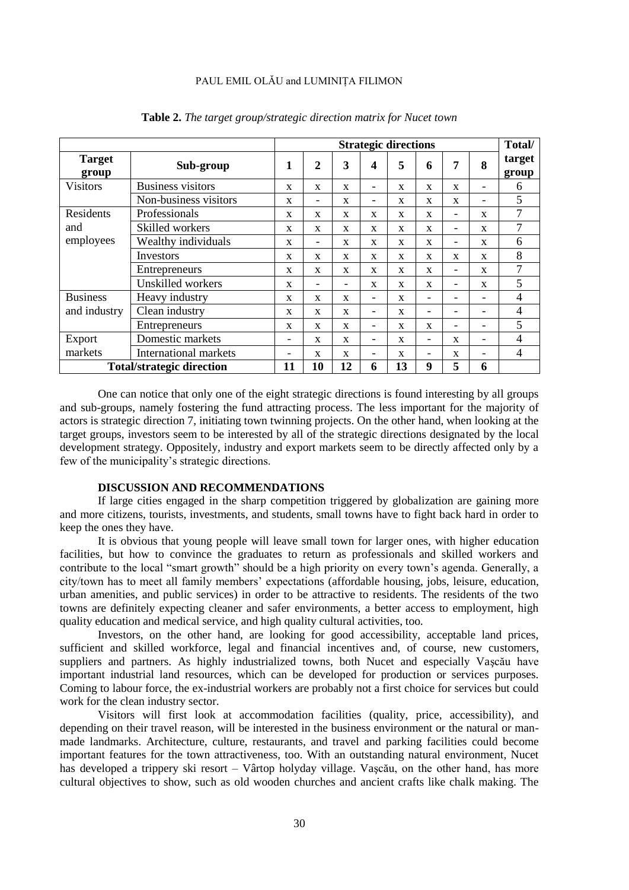|                                  |                              | <b>Strategic directions</b> |                              |                          |                              |              |                          |                          |              | Total/          |
|----------------------------------|------------------------------|-----------------------------|------------------------------|--------------------------|------------------------------|--------------|--------------------------|--------------------------|--------------|-----------------|
| <b>Target</b><br>group           | Sub-group                    | 1                           | $\overline{2}$               | $\mathbf{3}$             | 4                            | 5            | 6                        | 7                        | 8            | target<br>group |
| <b>Visitors</b>                  | <b>Business visitors</b>     | $\mathbf{x}$                | X                            | X                        | $\overline{\phantom{0}}$     | X            | X                        | $\mathbf{x}$             | -            | 6               |
|                                  | Non-business visitors        | $\mathbf{x}$                | $\qquad \qquad \blacksquare$ | X                        | $\overline{\phantom{0}}$     | X            | $\mathbf x$              | $\mathbf{x}$             | -            | 5               |
| Residents<br>and<br>employees    | Professionals                | $\mathbf{x}$                | $\mathbf{x}$                 | X                        | $\mathbf{x}$                 | $\mathbf x$  | $\mathbf x$              | $\overline{\phantom{a}}$ | $\mathbf{x}$ | 7               |
|                                  | Skilled workers              | X                           | X                            | X                        | $\mathbf{x}$                 | $\mathbf{x}$ | $\mathbf x$              | $\overline{\phantom{a}}$ | X            | 7               |
|                                  | Wealthy individuals          | X                           | $\qquad \qquad \blacksquare$ | X                        | X                            | X            | X                        | $\qquad \qquad -$        | X            | 6               |
|                                  | Investors                    | $\mathbf{x}$                | $\mathbf{x}$                 | $\mathbf x$              | $\mathbf{x}$                 | $\mathbf x$  | $\mathbf x$              | $\mathbf{x}$             | $\mathbf{x}$ | 8               |
|                                  | Entrepreneurs                | $\mathbf{x}$                | $\mathbf{x}$                 | X                        | $\mathbf{x}$                 | $\mathbf x$  | $\mathbf x$              |                          | $\mathbf{x}$ | 7               |
|                                  | Unskilled workers            | X                           | -                            | $\overline{\phantom{0}}$ | X                            | X            | X                        | $\overline{\phantom{a}}$ | X            | 5               |
| <b>Business</b><br>and industry  | Heavy industry               | $\mathbf{x}$                | $\mathbf{x}$                 | $\mathbf x$              | $\qquad \qquad \blacksquare$ | $\mathbf x$  | $\overline{\phantom{0}}$ | $\qquad \qquad -$        | -            | 4               |
|                                  | Clean industry               | X                           | $\mathbf{x}$                 | $\mathbf x$              | $\overline{\phantom{0}}$     | $\mathbf x$  | ۰                        | $\overline{\phantom{a}}$ | -            | $\overline{4}$  |
|                                  | Entrepreneurs                | X                           | $\mathbf{x}$                 | X                        | $\overline{\phantom{0}}$     | X            | X                        | $\qquad \qquad -$        | -            | 5               |
| Export<br>markets                | Domestic markets             | -                           | $\mathbf{x}$                 | $\mathbf x$              | $\overline{\phantom{0}}$     | X            | $\overline{\phantom{0}}$ | $\mathbf{x}$             | -            | 4               |
|                                  | <b>International markets</b> | -                           | X                            | $\mathbf x$              | -                            | $\mathbf x$  | ۰                        | X                        | -            | 4               |
| <b>Total/strategic direction</b> |                              | 11                          | 10                           | 12                       | 6                            | 13           | 9                        | 5                        | 6            |                 |

**Table 2.** *The target group/strategic direction matrix for Nucet town*

One can notice that only one of the eight strategic directions is found interesting by all groups and sub-groups, namely fostering the fund attracting process. The less important for the majority of actors is strategic direction 7, initiating town twinning projects. On the other hand, when looking at the target groups, investors seem to be interested by all of the strategic directions designated by the local development strategy. Oppositely, industry and export markets seem to be directly affected only by a few of the municipality's strategic directions.

#### **DISCUSSION AND RECOMMENDATIONS**

If large cities engaged in the sharp competition triggered by globalization are gaining more and more citizens, tourists, investments, and students, small towns have to fight back hard in order to keep the ones they have.

It is obvious that young people will leave small town for larger ones, with higher education facilities, but how to convince the graduates to return as professionals and skilled workers and contribute to the local "smart growth" should be a high priority on every town's agenda. Generally, a city/town has to meet all family members' expectations (affordable housing, jobs, leisure, education, urban amenities, and public services) in order to be attractive to residents. The residents of the two towns are definitely expecting cleaner and safer environments, a better access to employment, high quality education and medical service, and high quality cultural activities, too.

Investors, on the other hand, are looking for good accessibility, acceptable land prices, sufficient and skilled workforce, legal and financial incentives and, of course, new customers, suppliers and partners. As highly industrialized towns, both Nucet and especially Vaşcău have important industrial land resources, which can be developed for production or services purposes. Coming to labour force, the ex-industrial workers are probably not a first choice for services but could work for the clean industry sector.

Visitors will first look at accommodation facilities (quality, price, accessibility), and depending on their travel reason, will be interested in the business environment or the natural or manmade landmarks. Architecture, culture, restaurants, and travel and parking facilities could become important features for the town attractiveness, too. With an outstanding natural environment, Nucet has developed a trippery ski resort – Vârtop holyday village. Vaşcău, on the other hand, has more cultural objectives to show, such as old wooden churches and ancient crafts like chalk making. The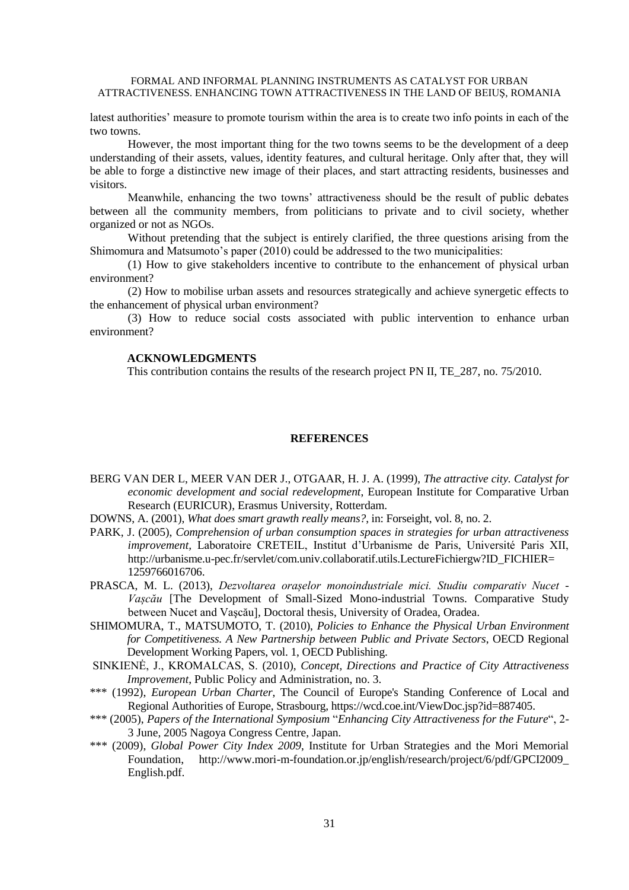latest authorities' measure to promote tourism within the area is to create two info points in each of the two towns.

However, the most important thing for the two towns seems to be the development of a deep understanding of their assets, values, identity features, and cultural heritage. Only after that, they will be able to forge a distinctive new image of their places, and start attracting residents, businesses and visitors.

Meanwhile, enhancing the two towns' attractiveness should be the result of public debates between all the community members, from politicians to private and to civil society, whether organized or not as NGOs.

Without pretending that the subject is entirely clarified, the three questions arising from the Shimomura and Matsumoto's paper (2010) could be addressed to the two municipalities:

(1) How to give stakeholders incentive to contribute to the enhancement of physical urban environment?

(2) How to mobilise urban assets and resources strategically and achieve synergetic effects to the enhancement of physical urban environment?

(3) How to reduce social costs associated with public intervention to enhance urban environment?

#### **ACKNOWLEDGMENTS**

This contribution contains the results of the research project PN II, TE\_287, no. 75/2010.

#### **REFERENCES**

BERG VAN DER L, MEER VAN DER J., OTGAAR, H. J. A. (1999), *The attractive city. Catalyst for economic development and social redevelopment*, European Institute for Comparative Urban Research (EURICUR), Erasmus University, Rotterdam.

DOWNS, A. (2001), *What does smart grawth really means?*, in: Forseight, vol. 8, no. 2.

- PARK, J. (2005), *Comprehension of urban consumption spaces in strategies for urban attractiveness improvement,* Laboratoire CRETEIL, Institut d'Urbanisme de Paris, Université Paris XII, http://urbanisme.u-pec.fr/servlet/com.univ.collaboratif.utils.LectureFichiergw?ID\_FICHIER= 1259766016706.
- PRASCA, M. L. (2013), *Dezvoltarea orașelor monoindustriale mici. Studiu comparativ Nucet - Vașcău* [The Development of Small-Sized Mono-industrial Towns. Comparative Study between Nucet and Vaşcău]*,* Doctoral thesis, University of Oradea, Oradea.
- SHIMOMURA, T., MATSUMOTO, T. (2010), *Policies to Enhance the Physical Urban Environment for Competitiveness. A New Partnership between Public and Private Sectors*, OECD Regional Development Working Papers, vol. 1, OECD Publishing.
- SINKIENĖ, J., KROMALCAS, S. (2010), *Concept, Directions and Practice of City Attractiveness Improvement*, Public Policy and Administration, no. 3.
- \*\*\* (1992), *European Urban Charter*, The Council of Europe's Standing Conference of Local and Regional Authorities of Europe, Strasbourg, https://wcd.coe.int/ViewDoc.jsp?id=887405.
- \*\*\* (2005), *Papers of the International Symposium* "*Enhancing City Attractiveness for the Future*", 2- 3 June, 2005 Nagoya Congress Centre, Japan.
- \*\*\* (2009), *Global Power City Index 2009*, Institute for Urban Strategies and the Mori Memorial Foundation, http://www.mori-m-foundation.or.jp/english/research/project/6/pdf/GPCI2009\_ English.pdf.